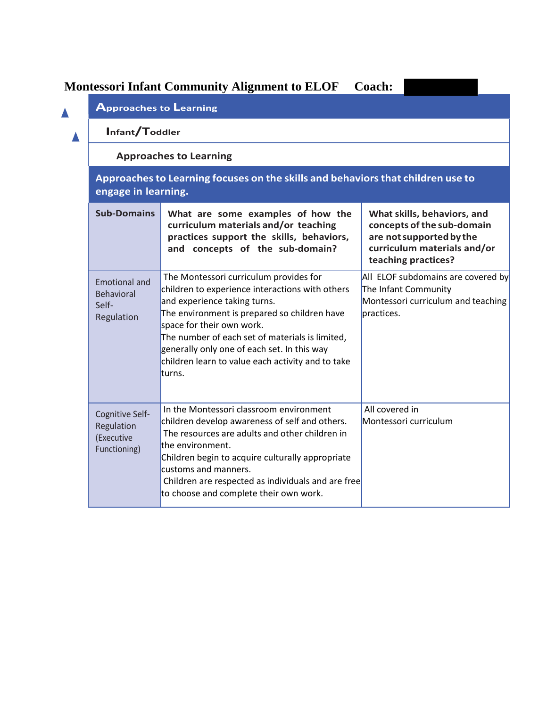## **Montessori Infant Community Alignment to ELOF Coach:**

|  | <b>Approaches to Learning</b>                                                                                                           |                                                                                                                                                                                                                                                                                                                                                                         |                                                                                                                                             |  |  |  |
|--|-----------------------------------------------------------------------------------------------------------------------------------------|-------------------------------------------------------------------------------------------------------------------------------------------------------------------------------------------------------------------------------------------------------------------------------------------------------------------------------------------------------------------------|---------------------------------------------------------------------------------------------------------------------------------------------|--|--|--|
|  | Infant/Toddler                                                                                                                          |                                                                                                                                                                                                                                                                                                                                                                         |                                                                                                                                             |  |  |  |
|  | <b>Approaches to Learning</b><br>Approaches to Learning focuses on the skills and behaviors that children use to<br>engage in learning. |                                                                                                                                                                                                                                                                                                                                                                         |                                                                                                                                             |  |  |  |
|  |                                                                                                                                         |                                                                                                                                                                                                                                                                                                                                                                         |                                                                                                                                             |  |  |  |
|  | <b>Sub-Domains</b>                                                                                                                      | What are some examples of how the<br>curriculum materials and/or teaching<br>practices support the skills, behaviors,<br>and concepts of the sub-domain?                                                                                                                                                                                                                | What skills, behaviors, and<br>concepts of the sub-domain<br>are not supported by the<br>curriculum materials and/or<br>teaching practices? |  |  |  |
|  | <b>Emotional and</b><br>Behavioral<br>Self-<br>Regulation                                                                               | The Montessori curriculum provides for<br>children to experience interactions with others<br>and experience taking turns.<br>The environment is prepared so children have<br>space for their own work.<br>The number of each set of materials is limited,<br>generally only one of each set. In this way<br>children learn to value each activity and to take<br>turns. | All ELOF subdomains are covered by<br>The Infant Community<br>Montessori curriculum and teaching<br>bractices.                              |  |  |  |
|  | Cognitive Self-<br>Regulation<br>(Executive<br>Functioning)                                                                             | In the Montessori classroom environment<br>children develop awareness of self and others.<br>The resources are adults and other children in<br>the environment.<br>Children begin to acquire culturally appropriate<br>customs and manners.<br>Children are respected as individuals and are free<br>to choose and complete their own work.                             | All covered in<br>Montessori curriculum                                                                                                     |  |  |  |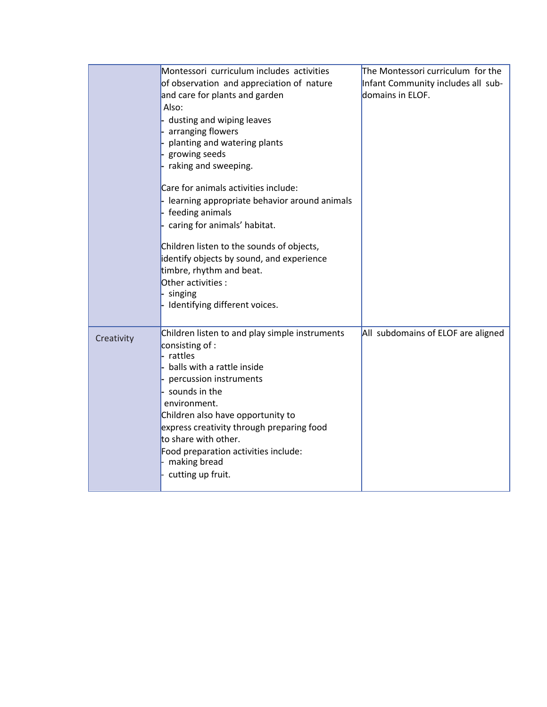|            | Montessori curriculum includes activities      | The Montessori curriculum for the  |
|------------|------------------------------------------------|------------------------------------|
|            | of observation and appreciation of nature      | Infant Community includes all sub- |
|            | and care for plants and garden                 | domains in ELOF.                   |
|            | Also:                                          |                                    |
|            | dusting and wiping leaves                      |                                    |
|            | arranging flowers                              |                                    |
|            | planting and watering plants                   |                                    |
|            | growing seeds                                  |                                    |
|            | raking and sweeping.                           |                                    |
|            | Care for animals activities include:           |                                    |
|            | - learning appropriate behavior around animals |                                    |
|            | feeding animals                                |                                    |
|            | caring for animals' habitat.                   |                                    |
|            | Children listen to the sounds of objects,      |                                    |
|            | identify objects by sound, and experience      |                                    |
|            | timbre, rhythm and beat.                       |                                    |
|            | Other activities:                              |                                    |
|            | singing                                        |                                    |
|            | Identifying different voices.                  |                                    |
|            |                                                |                                    |
| Creativity | Children listen to and play simple instruments | All subdomains of ELOF are aligned |
|            | consisting of :                                |                                    |
|            | rattles                                        |                                    |
|            | balls with a rattle inside                     |                                    |
|            | percussion instruments                         |                                    |
|            | sounds in the                                  |                                    |
|            | environment.                                   |                                    |
|            | Children also have opportunity to              |                                    |
|            | express creativity through preparing food      |                                    |
|            | to share with other.                           |                                    |
|            | Food preparation activities include:           |                                    |
|            | making bread                                   |                                    |
|            | cutting up fruit.                              |                                    |
|            |                                                |                                    |